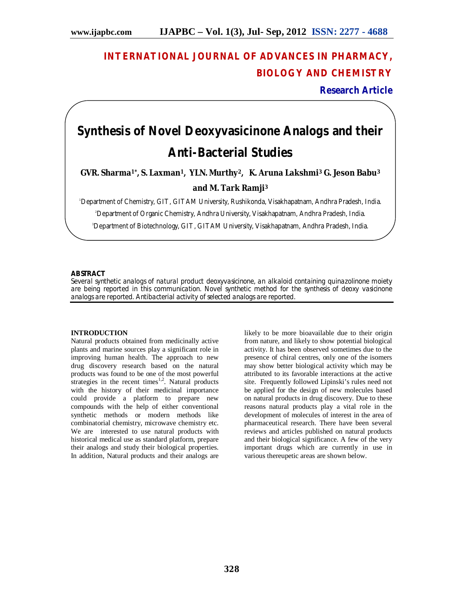# **INTERNATIONAL JOURNAL OF ADVANCES IN PHARMACY, BIOLOGY AND CHEMISTRY**

**Research Article**

# **Synthesis of Novel Deoxyvasicinone Analogs and their Anti-Bacterial Studies**

**GVR. Sharma1\* , S. Laxman1, YLN. Murthy2, K. Aruna Lakshmi<sup>3</sup> G. Jeson Babu<sup>3</sup> and M. Tark Ramji<sup>3</sup>**

<sup>1</sup>Department of Chemistry, GIT, GITAM University, Rushikonda, Visakhapatnam, Andhra Pradesh, India.

<sup>2</sup>Department of Organic Chemistry, Andhra University, Visakhapatnam, Andhra Pradesh, India.

3Department of Biotechnology, GIT, GITAM University, Visakhapatnam, Andhra Pradesh, India.

# **ABSTRACT**

Several synthetic analogs of natural product deoxyvasicinone, an alkaloid containing quinazolinone moiety are being reported in this communication. Novel synthetic method for the synthesis of deoxy vasicinone analogs are reported. Antibacterial activity of selected analogs are reported.

# **INTRODUCTION**

Natural products obtained from medicinally active plants and marine sources play a significant role in improving human health. The approach to new drug discovery research based on the natural products was found to be one of the most powerful strategies in the recent times<sup>1,2</sup>. Natural products with the history of their medicinal importance could provide a platform to prepare new compounds with the help of either conventional synthetic methods or modern methods like combinatorial chemistry, microwave chemistry etc. We are interested to use natural products with historical medical use as standard platform, prepare their analogs and study their biological properties. In addition, Natural products and their analogs are

likely to be more bioavailable due to their origin from nature, and likely to show potential biological activity. It has been observed sometimes due to the presence of chiral centres, only one of the isomers may show better biological activity which may be attributed to its favorable interactions at the active site. Frequently followed Lipinski's rules need not be applied for the design of new molecules based on natural products in drug discovery. Due to these reasons natural products play a vital role in the development of molecules of interest in the area of pharmaceutical research. There have been several reviews and articles published on natural products and their biological significance. A few of the very important drugs which are currently in use in various thereupetic areas are shown below.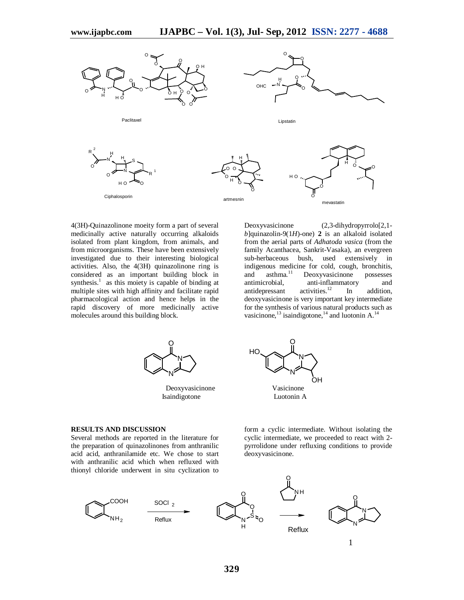

4(3H)-Quinazolinone moeity form a part of several medicinally active naturally occurring alkaloids isolated from plant kingdom, from animals, and from microorganisms. These have been extensively investigated due to their interesting biological activities. Also, the 4(3H) quinazolinone ring is considered as an important building block in synthesis. $\frac{1}{1}$  as this moiety is capable of binding at multiple sites with high affinity and facilitate rapid pharmacological action and hence helps in the rapid discovery of more medicinally active molecules around this building block.

Deoxyvasicinone (2,3-dihydropyrrolo[2,1  $b$ ]quinazolin-9(1*H*)-one) 2 is an alkaloid isolated from the aerial parts of *Adhatoda vasica* (from the family Acanthacea, Sankrit-Vasaka), an evergreen sub-herbaceous bush, used extensively in indigenous medicine for cold, cough, bronchitis,<br>and asthma.<sup>11</sup> Deoxyvasicinone possesses and asthma.<sup>11</sup> Deoxyvasicinone possesses<br>antimicrobial, anti-inflammatory and anti-inflammatory and<br>activities.<sup>12</sup> In addition, antidepressant In addition, deoxyvasicinone is very important key intermediate for the synthesis of various natural products such as vasicinone,  $^{13}$  isaindigotone,  $^{14}$  and luotonin A.  $^{14}$ 



Isaindigotone



#### **RESULTS AND DISCUSSION**

Several methods are reported in the literature for the preparation of quinazolinones from anthranilic acid acid, anthranilamide etc. We chose to start with anthranilic acid which when refluxed with thionyl chloride underwent in situ cyclization to

form a cyclic intermediate. Without isolating the cyclic intermediate, we proceeded to react with 2 pyrrolidone under refluxing conditions to provide deoxyvasicinone.

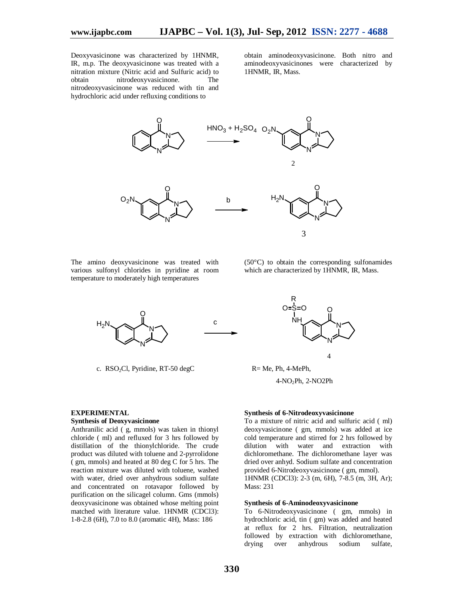Deoxyvasicinone was characterized by 1HNMR, IR, m.p. The deoxyvasicinone was treated with a nitration mixture (Nitric acid and Sulfuric acid) to obtain nitrodeoxyvasicinone. The nitrodeoxyvasicinone was reduced with tin and hydrochloric acid under refluxing conditions to

obtain aminodeoxyvasicinone. Both nitro and aminodeoxyvasicinones were characterized by 1HNMR, IR, Mass.



The amino deoxyvasicinone was treated with various sulfonyl chlorides in pyridine at room temperature to moderately high temperatures

(50°C) to obtain the corresponding sulfonamides which are characterized by 1HNMR, IR, Mass.



c.  $RSO_2Cl$ , Pyridine,  $RT-50 \text{ degC}$   $R = Me$ , Ph, 4-MePh,



# **Synthesis of Deoxyvasicinone**

Anthranilic acid ( g, mmols) was taken in thionyl chloride ( ml) and refluxed for 3 hrs followed by distillation of the thionylchloride. The crude product was diluted with toluene and 2-pyrrolidone ( gm, mmols) and heated at 80 deg C for 5 hrs. The reaction mixture was diluted with toluene, washed with water, dried over anhydrous sodium sulfate and concentrated on rotavapor followed by purification on the silicagel column. Gms (mmols) deoxyvasicinone was obtained whose melting point matched with literature value. 1HNMR (CDCl3): 1-8-2.8 (6H), 7.0 to 8.0 (aromatic 4H), Mass: 186



4

4-NO2Ph, 2-NO2Ph

# **Synthesis of 6-Nitrodeoxyvasicinone**

To a mixture of nitric acid and sulfuric acid ( ml) deoxyvasicinone ( gm, mmols) was added at ice cold temperature and stirred for 2 hrs followed by dilution with water and extraction with dichloromethane. The dichloromethane layer was dried over anhyd. Sodium sulfate and concentration provided 6-Nitrodeoxyvasicinone ( gm, mmol). 1HNMR (CDCl3): 2-3 (m, 6H), 7-8.5 (m, 3H, Ar); Mass: 231

#### **Synthesis of 6-Aminodeoxyvasicinone**

To 6-Nitrodeoxyvasicinone ( gm, mmols) in hydrochloric acid, tin ( gm) was added and heated at reflux for 2 hrs. Filtration, neutralization followed by extraction with dichloromethane, drying over anhydrous sodium sulfate,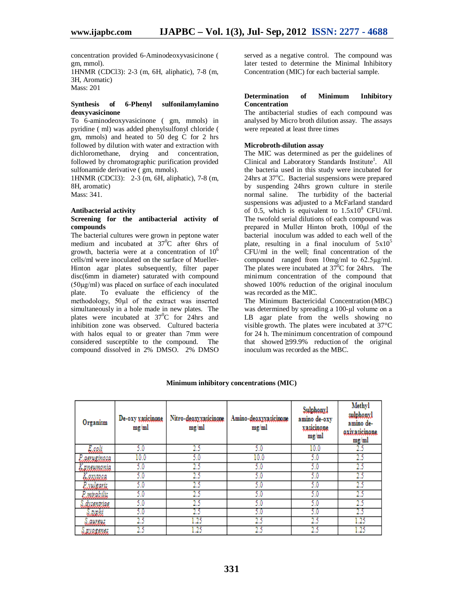concentration provided 6-Aminodeoxyvasicinone ( gm, mmol).

1HNMR (CDCl3): 2-3 (m, 6H, aliphatic), 7-8 (m, 3H, Aromatic) Mass: 201

### **Synthesis of 6-Phenyl sulfonilamylamino deoxyvasicinone**

To 6-aminodeoxyvasicinone ( gm, mmols) in pyridine ( ml) was added phenylsulfonyl chloride ( gm, mmols) and heated to 50 deg C for 2 hrs followed by dilution with water and extraction with dichloromethane, drying and concentration, followed by chromatographic purification provided sulfonamide derivative ( gm, mmols).

1HNMR (CDCl3): 2-3 (m, 6H, aliphatic), 7-8 (m, 8H, aromatic) Mass: 341.

#### **Antibacterial activity**

# **Screening for the antibacterial activity of compounds**

The bacterial cultures were grown in peptone water medium and incubated at 37<sup>0</sup>C after 6hrs of growth, bacteria were at a concentration of  $10^6$ cells/ml were inoculated on the surface of Mueller-Hinton agar plates subsequently, filter paper disc(6mm in diameter) saturated with compound (50µg/ml) was placed on surface of each inoculated plate. To evaluate the efficiency of the methodology, 50µl of the extract was inserted simultaneously in a hole made in new plates. The plates were incubated at  $37^{\circ}$ C for 24hrs and inhibition zone was observed. Cultured bacteria with halos equal to or greater than 7mm were considered susceptible to the compound. The compound dissolved in 2% DMSO. 2% DMSO

served as a negative control. The compound was later tested to determine the Minimal Inhibitory Concentration (MIC) for each bacterial sample.

#### **Determination of Minimum Inhibitory Concentration**

The antibacterial studies of each compound was analysed by Micro broth dilution assay. The assays were repeated at least three times

#### **Microbroth-dilution assay**

The MIC was determined as per the guidelines of Clinical and Laboratory Standards Institute<sup>1</sup>. All the bacteria used in this study were incubated for  $24$ hrs at  $37^{\circ}$ C. Bacterial suspensions were prepared by suspending 24hrs grown culture in sterile normal saline. The turbidity of the bacterial suspensions was adjusted to a McFarland standard of 0.5, which is equivalent to  $1.5x10^8$  CFU/ml. The twofold serial dilutions of each compound was prepared in Muller Hinton broth, 100µl of the bacterial inoculum was added to each well of the plate, resulting in a final inoculum of  $5x10^5$ CFU/ml in the well; final concentration of the compound ranged from 10mg/ml to 62.5µg/ml. The plates were incubated at  $37^{\circ}$ C for 24hrs. The minimum concentration of the compound that showed 100% reduction of the original inoculum was recorded as the MIC.

The Minimum Bactericidal Concentration (MBC) was determined by spreading a 100-µl volume on a LB agar plate from the wells showing no visible growth. The plates were incubated at 37°C for 24 h. The minimum concentration of compound that showed  $\geq 99.9\%$  reduction of the original inoculum was recorded as the MBC.

| Organism           | De-oxy vasicinone<br>mg/ml | Nitro-deoxyxasicinoue<br>mg/ml | Amino-deoxyxasicinone<br>mg/ml | Sulphonyl<br>amino de-oxy<br>vasicinone<br>mg/ml | Methyl<br>sulphonyl<br>amino de-<br>oxivasicinone<br>mg/ml |
|--------------------|----------------------------|--------------------------------|--------------------------------|--------------------------------------------------|------------------------------------------------------------|
| Eseli              | 5.0                        | 25                             | 5.0                            | 10.0                                             | 2.5                                                        |
| Laeruzinesa        | 10.0                       | 5.0                            | 10.0                           | 5.0                                              | 2.5                                                        |
| Krneumania         | 5.0                        | 25                             | 5.0                            | 5.0                                              | 25                                                         |
| Laxvara            | 5.0                        | 25                             | 5.0                            | 5.0                                              | 25                                                         |
| Luuleank.          | 5.0                        | 25                             | 5.0                            | 5.0                                              | 25                                                         |
| <i>Panirakilis</i> | 5.0                        | 25                             | 5.0                            | 5.0                                              |                                                            |
| Lauenniae          | 5.0                        | 25                             | 5.0                            | 5.0                                              | 25                                                         |
| Luali              | 5.0                        | 25                             | 5.0                            | 5.0                                              |                                                            |
| aways              | 25                         | 1.25                           | 25                             | 25                                               | .25                                                        |
| <i>BXQESMSE</i>    | 25                         | 1.25                           | 25                             | 25                                               | 1.25                                                       |

# **Minimum inhibitory concentrations (MIC)**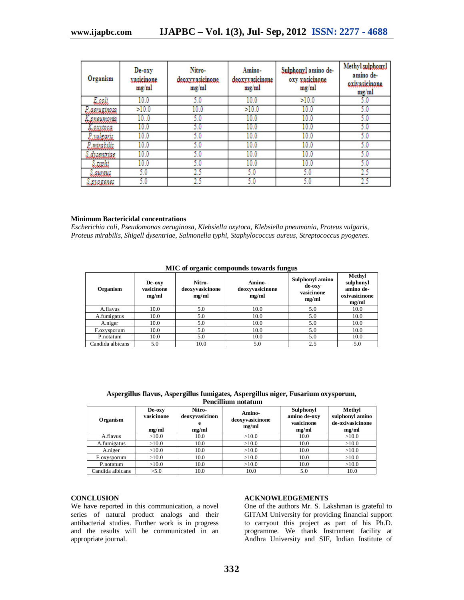| Organism   | De-oxy<br>rasicinone<br>mg/ml | Nitro-<br>deoxxxasicinone<br>mg/ml | Amino-<br>deoxxxasicinone<br>mg/ml | Sulphonyl amino de-<br>oxy xasicinone<br>mg/ml | Methyl sulphony.<br>amino de-<br>oxivasicinone<br>mg/ml |
|------------|-------------------------------|------------------------------------|------------------------------------|------------------------------------------------|---------------------------------------------------------|
| Esceli.    | 10.0                          | 5.0                                | 10.0                               | >10.0                                          | 5.0                                                     |
| aeruzinasa | >10.0                         | 10.0                               | >10.0                              | 10.0                                           | 5.0                                                     |
| пешпанія   | 10.0                          | 5.0                                | 10.0                               | 10.0                                           | 5.0                                                     |
| axuaca     | 10.0                          | 0.د                                | 10.0                               | 10.0                                           | 5.0                                                     |
| vulsavis   | 10.0                          | 5.0                                | 10.0                               | 10.0                                           | 5.0                                                     |
| mirakilis  | 10.0                          | 5.0                                | 10.0                               | 10.0                                           | 5.0                                                     |
| dysentriae | 10.0                          | 5.0                                | 10.0                               | 10.0                                           | 5.0                                                     |
| iwaki      | 10.0                          | 5.0                                | 10.0                               | 10.0                                           | 5.0                                                     |
| awayi      | 5.0                           | 25                                 | 5.0                                | 5.0                                            | 25                                                      |
| 8.RVREENSE | 5.0                           | 25                                 | 5.0                                | 5.0                                            | 25                                                      |

# **Minimum Bactericidal concentrations**

*Escherichia coli, Pseudomonas aeruginosa, Klebsiella oxytoca, Klebsiella pneumonia, Proteus vulgaris, Proteus mirabilis, Shigell dysentriae, Salmonella typhi, Staphylococcus aureus, Streptococcus pyogenes.*

| $1.220$ or organize event outlies to mail the ranges |                               |                                    |                                    |                                                  |                                                            |  |
|------------------------------------------------------|-------------------------------|------------------------------------|------------------------------------|--------------------------------------------------|------------------------------------------------------------|--|
| Organism                                             | De-oxy<br>vasicinone<br>mg/ml | Nitro-<br>deoxyvasicinone<br>mg/ml | Amino-<br>deoxyvasicinone<br>mg/ml | Sulphonyl amino<br>de-oxy<br>vasicinone<br>mg/ml | Methyl<br>sulphonyl<br>amino de-<br>oxivasicinone<br>mg/ml |  |
| A.flavus                                             | 10.0                          | 5.0                                | 10.0                               | 5.0                                              | 10.0                                                       |  |
| A.fumigatus                                          | 10.0                          | 5.0                                | 10.0                               | 5.0                                              | 10.0                                                       |  |
| A.niger                                              | 10.0                          | 5.0                                | 10.0                               | 5.0                                              | 10.0                                                       |  |
| F.oxysporum                                          | 10.0                          | 5.0                                | 10.0                               | 5.0                                              | 10.0                                                       |  |
| P.notatum                                            | 10.0                          | 5.0                                | 10.0                               | 5.0                                              | 10.0                                                       |  |
| Candida albicans                                     | 5.0                           | 10.0                               | 5.0                                | 2.5                                              | 5.0                                                        |  |

**MIC of organic compounds towards fungus**

| Aspergillus flavus, Aspergillus fumigates, Aspergillus niger, Fusarium oxysporum, |  |  |  |  |  |
|-----------------------------------------------------------------------------------|--|--|--|--|--|
| Pencillium notatum                                                                |  |  |  |  |  |

| Organism         | De-oxy<br>vasicinone<br>mg/ml | Nitro-<br>deoxyvasicinon<br>mg/ml | Amino-<br>deoxyvasicinone<br>mg/ml | Sulphonyl<br>amino de-oxy<br>vasicinone<br>mg/ml | Methyl<br>sulphonyl amino<br>de-oxivasicinone<br>mg/ml |
|------------------|-------------------------------|-----------------------------------|------------------------------------|--------------------------------------------------|--------------------------------------------------------|
| A.flavus         | >10.0                         | 10.0                              | >10.0                              | 10.0                                             | >10.0                                                  |
| A.fumigatus      | >10.0                         | 10.0                              | >10.0                              | 10.0                                             | >10.0                                                  |
| A.niger          | >10.0                         | 10.0                              | >10.0                              | 10.0                                             | >10.0                                                  |
| F.oxysporum      | >10.0                         | 10.0                              | >10.0                              | 10.0                                             | >10.0                                                  |
| P.notatum        | >10.0                         | 10.0                              | >10.0                              | 10.0                                             | >10.0                                                  |
| Candida albicans | >5.0                          | 10.0                              | 10.0                               | 5.0                                              | 10.0                                                   |

# **CONCLUSION**

We have reported in this communication, a novel series of natural product analogs and their antibacterial studies. Further work is in progress and the results will be communicated in an appropriate journal.

# **ACKNOWLEDGEMENTS**

One of the authors Mr. S. Lakshman is grateful to GITAM University for providing financial support to carryout this project as part of his Ph.D. programme. We thank Instrument facility at Andhra University and SIF, Indian Institute of